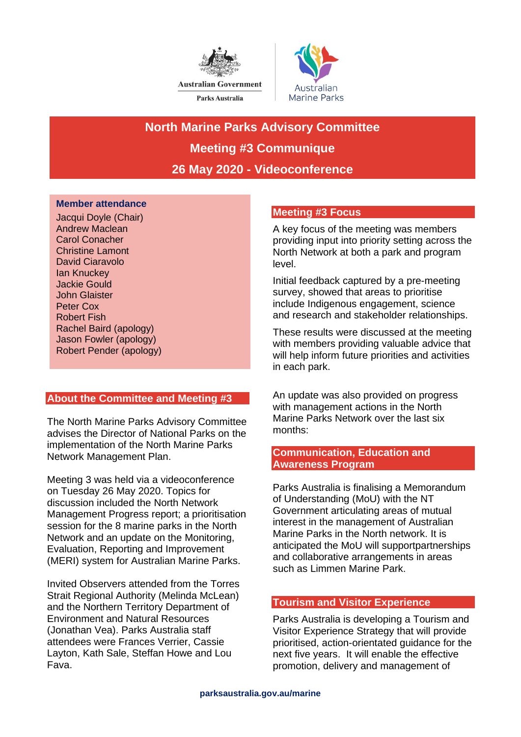



**North Marine Parks Advisory Committee Meeting #3 Communique 26 May 2020 - Videoconference**

### **Member attendance**

Jacqui Doyle (Chair) Andrew Maclean Carol Conacher Christine Lamont David Ciaravolo Ian Knuckey Jackie Gould John Glaister Peter Cox Robert Fish Rachel Baird (apology) Jason Fowler (apology) Robert Pender (apology)

# **About the Committee and Meeting #3**

The North Marine Parks Advisory Committee advises the Director of National Parks on the implementation of the North Marine Parks Network Management Plan.

Meeting 3 was held via a videoconference on Tuesday 26 May 2020. Topics for discussion included the North Network Management Progress report; a prioritisation session for the 8 marine parks in the North Network and an update on the Monitoring, Evaluation, Reporting and Improvement (MERI) system for Australian Marine Parks.

Invited Observers attended from the Torres Strait Regional Authority (Melinda McLean) and the Northern Territory Department of Environment and Natural Resources (Jonathan Vea). Parks Australia staff attendees were Frances Verrier, Cassie Layton, Kath Sale, Steffan Howe and Lou Fava.

## **Meeting #3 Focus**

A key focus of the meeting was members providing input into priority setting across the North Network at both a park and program level.

Initial feedback captured by a pre-meeting survey, showed that areas to prioritise include Indigenous engagement, science and research and stakeholder relationships.

These results were discussed at the meeting with members providing valuable advice that will help inform future priorities and activities in each park.

An update was also provided on progress with management actions in the North Marine Parks Network over the last six months:

## **Communication, Education and Awareness Program**

Parks Australia is finalising a Memorandum of Understanding (MoU) with the NT Government articulating areas of mutual interest in the management of Australian Marine Parks in the North network. It is anticipated the MoU will supportpartnerships and collaborative arrangements in areas such as Limmen Marine Park.

# **Tourism and Visitor Experience**

Parks Australia is developing a Tourism and Visitor Experience Strategy that will provide prioritised, action-orientated guidance for the next five years. It will enable the effective promotion, delivery and management of